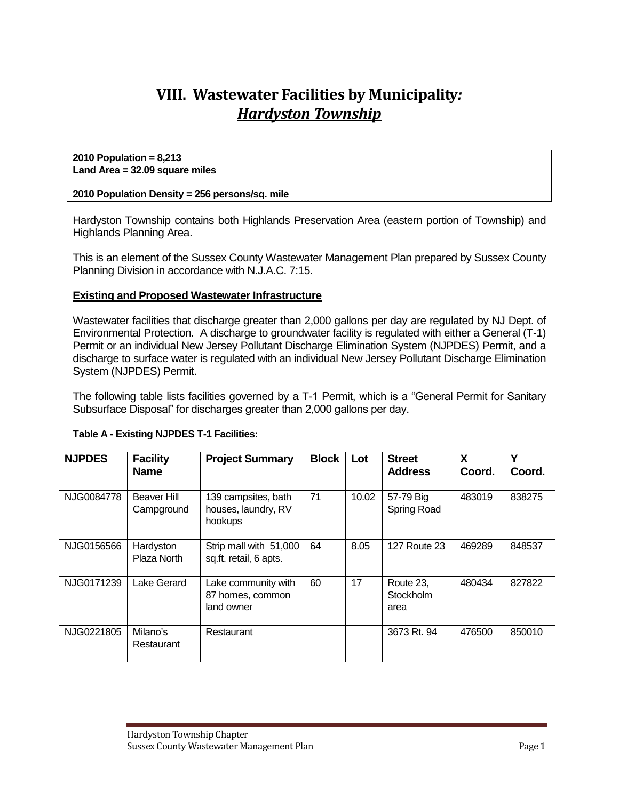# **VIII. Wastewater Facilities by Municipality***: Hardyston Township*

#### **2010 Population = 8,213 Land Area = 32.09 square miles**

### **2010 Population Density = 256 persons/sq. mile**

Hardyston Township contains both Highlands Preservation Area (eastern portion of Township) and Highlands Planning Area.

This is an element of the Sussex County Wastewater Management Plan prepared by Sussex County Planning Division in accordance with N.J.A.C. 7:15.

### **Existing and Proposed Wastewater Infrastructure**

Wastewater facilities that discharge greater than 2,000 gallons per day are regulated by NJ Dept. of Environmental Protection. A discharge to groundwater facility is regulated with either a General (T-1) Permit or an individual New Jersey Pollutant Discharge Elimination System (NJPDES) Permit, and a discharge to surface water is regulated with an individual New Jersey Pollutant Discharge Elimination System (NJPDES) Permit.

The following table lists facilities governed by a T-1 Permit, which is a "General Permit for Sanitary Subsurface Disposal" for discharges greater than 2,000 gallons per day.

| <b>NJPDES</b> | <b>Facility</b><br><b>Name</b> | <b>Project Summary</b>                                | <b>Block</b> | Lot   | <b>Street</b><br><b>Address</b>       | X<br>Coord. | Υ<br>Coord. |
|---------------|--------------------------------|-------------------------------------------------------|--------------|-------|---------------------------------------|-------------|-------------|
| NJG0084778    | Beaver Hill<br>Campground      | 139 campsites, bath<br>houses, laundry, RV<br>hookups | 71           | 10.02 | 57-79 Big<br>Spring Road              | 483019      | 838275      |
| NJG0156566    | Hardyston<br>Plaza North       | Strip mall with 51,000<br>sq.ft. retail, 6 apts.      | 64           | 8.05  | <b>127 Route 23</b>                   | 469289      | 848537      |
| NJG0171239    | Lake Gerard                    | Lake community with<br>87 homes, common<br>land owner | 60           | 17    | Route 23,<br><b>Stockholm</b><br>area | 480434      | 827822      |
| NJG0221805    | Milano's<br>Restaurant         | Restaurant                                            |              |       | 3673 Rt. 94                           | 476500      | 850010      |

#### **Table A - Existing NJPDES T-1 Facilities:**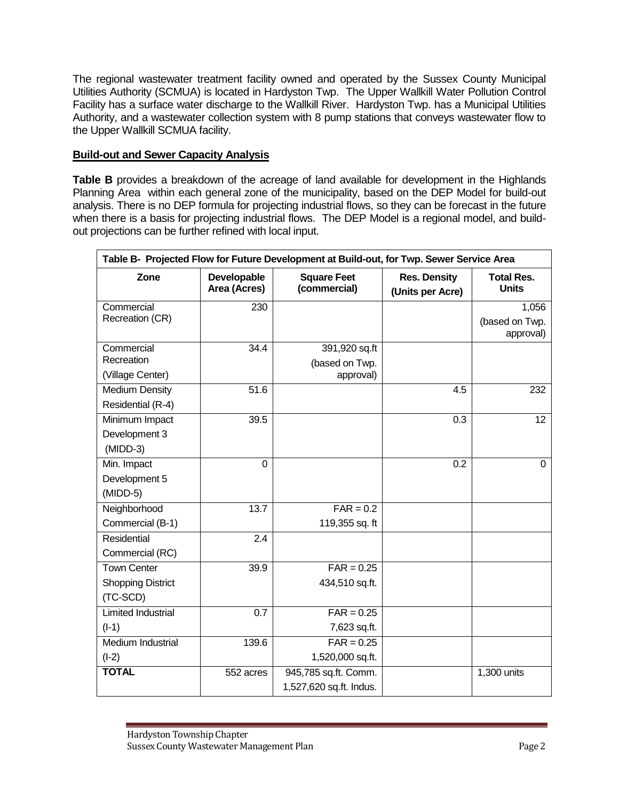The regional wastewater treatment facility owned and operated by the Sussex County Municipal Utilities Authority (SCMUA) is located in Hardyston Twp. The Upper Wallkill Water Pollution Control Facility has a surface water discharge to the Wallkill River. Hardyston Twp. has a Municipal Utilities Authority, and a wastewater collection system with 8 pump stations that conveys wastewater flow to the Upper Wallkill SCMUA facility.

### **Build-out and Sewer Capacity Analysis**

**Table B** provides a breakdown of the acreage of land available for development in the Highlands Planning Area within each general zone of the municipality, based on the DEP Model for build-out analysis. There is no DEP formula for projecting industrial flows, so they can be forecast in the future when there is a basis for projecting industrial flows. The DEP Model is a regional model, and buildout projections can be further refined with local input.

| Table B- Projected Flow for Future Development at Build-out, for Twp. Sewer Service Area |                             |                                    |                                         |                                   |  |
|------------------------------------------------------------------------------------------|-----------------------------|------------------------------------|-----------------------------------------|-----------------------------------|--|
| Zone                                                                                     | Developable<br>Area (Acres) | <b>Square Feet</b><br>(commercial) | <b>Res. Density</b><br>(Units per Acre) | <b>Total Res.</b><br><b>Units</b> |  |
| Commercial                                                                               | 230                         |                                    |                                         | 1,056                             |  |
| Recreation (CR)                                                                          |                             |                                    |                                         | (based on Twp.                    |  |
|                                                                                          |                             |                                    |                                         | approval)                         |  |
| Commercial                                                                               | 34.4                        | 391,920 sq.ft                      |                                         |                                   |  |
| Recreation                                                                               |                             | (based on Twp.                     |                                         |                                   |  |
| (Village Center)                                                                         |                             | approval)                          |                                         |                                   |  |
| <b>Medium Density</b>                                                                    | 51.6                        |                                    | 4.5                                     | 232                               |  |
| Residential (R-4)                                                                        |                             |                                    |                                         |                                   |  |
| Minimum Impact                                                                           | 39.5                        |                                    | 0.3                                     | 12 <sup>°</sup>                   |  |
| Development 3                                                                            |                             |                                    |                                         |                                   |  |
| $(MIDD-3)$                                                                               |                             |                                    |                                         |                                   |  |
| Min. Impact                                                                              | $\overline{0}$              |                                    | $\overline{0.2}$                        | $\mathbf 0$                       |  |
| Development 5                                                                            |                             |                                    |                                         |                                   |  |
| $(MIDD-5)$                                                                               |                             |                                    |                                         |                                   |  |
| Neighborhood                                                                             | 13.7                        | $FAR = 0.2$                        |                                         |                                   |  |
| Commercial (B-1)                                                                         |                             | 119,355 sq. ft                     |                                         |                                   |  |
| Residential                                                                              | 2.4                         |                                    |                                         |                                   |  |
| Commercial (RC)                                                                          |                             |                                    |                                         |                                   |  |
| <b>Town Center</b>                                                                       | 39.9                        | $FAR = 0.25$                       |                                         |                                   |  |
| <b>Shopping District</b>                                                                 |                             | 434,510 sq.ft.                     |                                         |                                   |  |
| (TC-SCD)                                                                                 |                             |                                    |                                         |                                   |  |
| <b>Limited Industrial</b>                                                                | 0.7                         | $FAR = 0.25$                       |                                         |                                   |  |
| $(I-1)$                                                                                  |                             | 7,623 sq.ft.                       |                                         |                                   |  |
| Medium Industrial                                                                        | 139.6                       | $FAR = 0.25$                       |                                         |                                   |  |
| $(I-2)$                                                                                  |                             | 1,520,000 sq.ft.                   |                                         |                                   |  |
| <b>TOTAL</b>                                                                             | 552 acres                   | 945,785 sq.ft. Comm.               |                                         | 1,300 units                       |  |
|                                                                                          |                             | 1,527,620 sq.ft. Indus.            |                                         |                                   |  |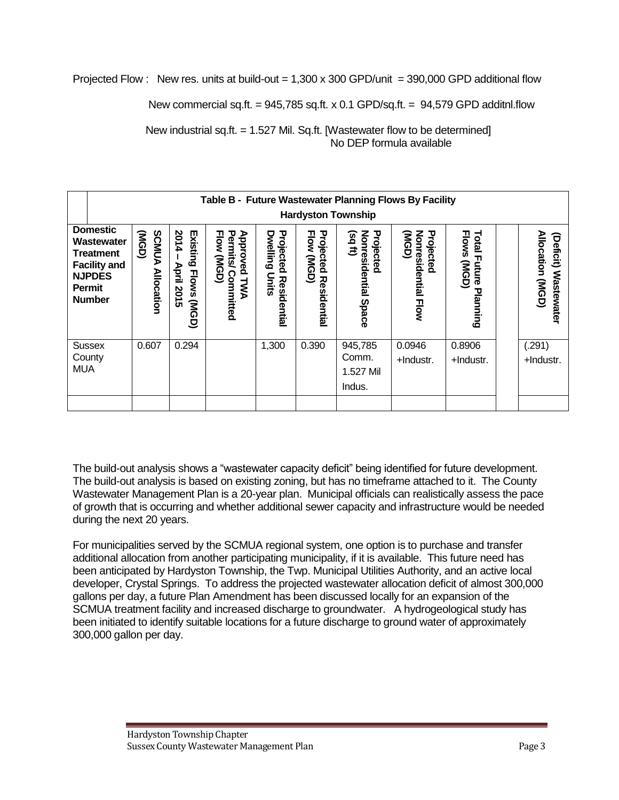Projected Flow : New res. units at build-out =  $1,300 \times 300$  GPD/unit = 390,000 GPD additional flow

New commercial sq.ft.  $= 945,785$  sq.ft. x 0.1 GPD/sq.ft.  $= 94,579$  GPD additnl.flow

New industrial sq.ft. = 1.527 Mil. Sq.ft. [Wastewater flow to be determined] No DEP formula available

|                                                                                                                             | Table B - Future Wastewater Planning Flows By Facility<br><b>Hardyston Township</b> |                                                            |                                                              |                                                      |                                                  |                                                          |                                           |                                                          |                                                               |
|-----------------------------------------------------------------------------------------------------------------------------|-------------------------------------------------------------------------------------|------------------------------------------------------------|--------------------------------------------------------------|------------------------------------------------------|--------------------------------------------------|----------------------------------------------------------|-------------------------------------------|----------------------------------------------------------|---------------------------------------------------------------|
| <b>Domestic</b><br>Wastewater<br><b>Treatment</b><br><b>Facility and</b><br><b>NJPDES</b><br><b>Permit</b><br><b>Number</b> | <b>SCMUA</b><br>(NGD)<br><b>Allocation</b>                                          | 2014<br>Existing<br>April<br><b>Flows</b><br>2015<br>(NGD) | Approved<br>Permits<br><b>Flow (MGD)</b><br>Committed<br>ГМА | Projected<br><b>Dwelling</b><br>Units<br>Residential | Projected<br><b>Flow</b><br>(USD)<br>Residential | Nonresidential<br>$(sq$ ft)<br>Projected<br><b>Space</b> | Nonresidential Flow<br>Projected<br>(NGD) | <b>Flows</b><br><b>Total Future</b><br>(NGD)<br>Planning | Allocation (MGD)<br>ਰੇ<br><b>eficit)</b><br><b>Wastewater</b> |
| <b>Sussex</b><br>County<br><b>MUA</b>                                                                                       | 0.607                                                                               | 0.294                                                      |                                                              | 1,300                                                | 0.390                                            | 945,785<br>Comm.<br>1.527 Mil<br>Indus.                  | 0.0946<br>+Industr.                       | 0.8906<br>+Industr.                                      | (.291)<br>+Industr.                                           |

The build-out analysis shows a "wastewater capacity deficit" being identified for future development. The build-out analysis is based on existing zoning, but has no timeframe attached to it. The County Wastewater Management Plan is a 20-year plan. Municipal officials can realistically assess the pace of growth that is occurring and whether additional sewer capacity and infrastructure would be needed during the next 20 years.

For municipalities served by the SCMUA regional system, one option is to purchase and transfer additional allocation from another participating municipality, if it is available. This future need has been anticipated by Hardyston Township, the Twp. Municipal Utilities Authority, and an active local developer, Crystal Springs. To address the projected wastewater allocation deficit of almost 300,000 gallons per day, a future Plan Amendment has been discussed locally for an expansion of the SCMUA treatment facility and increased discharge to groundwater. A hydrogeological study has been initiated to identify suitable locations for a future discharge to ground water of approximately 300,000 gallon per day.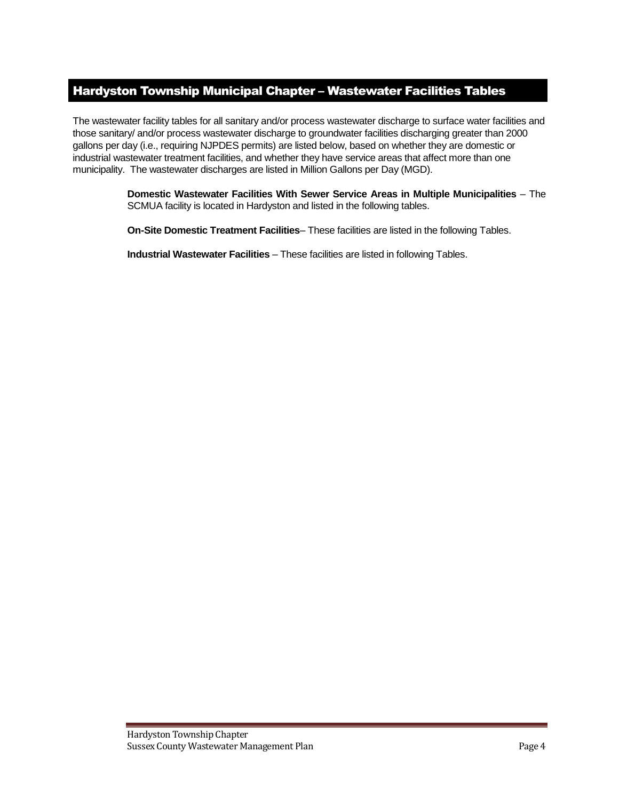## Hardyston Township Municipal Chapter – Wastewater Facilities Tables

The wastewater facility tables for all sanitary and/or process wastewater discharge to surface water facilities and those sanitary/ and/or process wastewater discharge to groundwater facilities discharging greater than 2000 gallons per day (i.e., requiring NJPDES permits) are listed below, based on whether they are domestic or industrial wastewater treatment facilities, and whether they have service areas that affect more than one municipality. The wastewater discharges are listed in Million Gallons per Day (MGD).

> **Domestic Wastewater Facilities With Sewer Service Areas in Multiple Municipalities** – The SCMUA facility is located in Hardyston and listed in the following tables.

**On-Site Domestic Treatment Facilities**– These facilities are listed in the following Tables.

**Industrial Wastewater Facilities** – These facilities are listed in following Tables.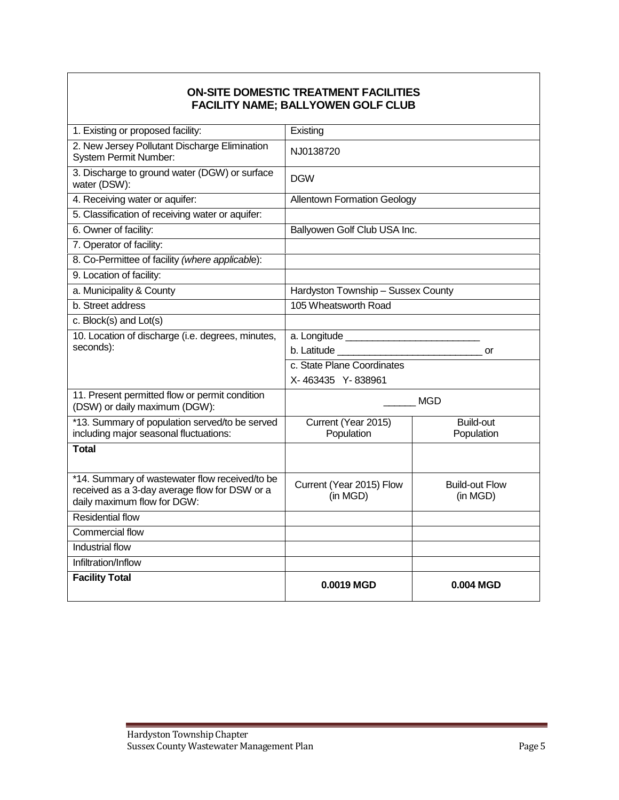### **ON-SITE DOMESTIC TREATMENT FACILITIES FACILITY NAME; BALLYOWEN GOLF CLUB**

| 1. Existing or proposed facility:                                                                                              | Existing                                                                                                                                                                                                                                   |                                   |  |  |
|--------------------------------------------------------------------------------------------------------------------------------|--------------------------------------------------------------------------------------------------------------------------------------------------------------------------------------------------------------------------------------------|-----------------------------------|--|--|
| 2. New Jersey Pollutant Discharge Elimination<br><b>System Permit Number:</b>                                                  | NJ0138720                                                                                                                                                                                                                                  |                                   |  |  |
| 3. Discharge to ground water (DGW) or surface<br>water (DSW):                                                                  | <b>DGW</b>                                                                                                                                                                                                                                 |                                   |  |  |
| 4. Receiving water or aquifer:                                                                                                 | <b>Allentown Formation Geology</b>                                                                                                                                                                                                         |                                   |  |  |
| 5. Classification of receiving water or aquifer:                                                                               |                                                                                                                                                                                                                                            |                                   |  |  |
| 6. Owner of facility:                                                                                                          | Ballyowen Golf Club USA Inc.                                                                                                                                                                                                               |                                   |  |  |
| 7. Operator of facility:                                                                                                       |                                                                                                                                                                                                                                            |                                   |  |  |
| 8. Co-Permittee of facility (where applicable):                                                                                |                                                                                                                                                                                                                                            |                                   |  |  |
| 9. Location of facility:                                                                                                       |                                                                                                                                                                                                                                            |                                   |  |  |
| a. Municipality & County                                                                                                       | Hardyston Township - Sussex County                                                                                                                                                                                                         |                                   |  |  |
| b. Street address                                                                                                              | 105 Wheatsworth Road                                                                                                                                                                                                                       |                                   |  |  |
| c. Block(s) and Lot(s)                                                                                                         |                                                                                                                                                                                                                                            |                                   |  |  |
| 10. Location of discharge (i.e. degrees, minutes,                                                                              |                                                                                                                                                                                                                                            |                                   |  |  |
| seconds):                                                                                                                      | b. Latitude <b>contract and the contract of the contract of the contract of the contract of the contract of the contract of the contract of the contract of the contract of the contract of the contract of the contract of the </b><br>or |                                   |  |  |
|                                                                                                                                | c. State Plane Coordinates                                                                                                                                                                                                                 |                                   |  |  |
|                                                                                                                                | X-463435 Y-838961                                                                                                                                                                                                                          |                                   |  |  |
| 11. Present permitted flow or permit condition<br>(DSW) or daily maximum (DGW):                                                | <b>MGD</b>                                                                                                                                                                                                                                 |                                   |  |  |
| *13. Summary of population served/to be served<br>including major seasonal fluctuations:                                       | Current (Year 2015)<br>Population                                                                                                                                                                                                          | <b>Build-out</b><br>Population    |  |  |
| <b>Total</b>                                                                                                                   |                                                                                                                                                                                                                                            |                                   |  |  |
| *14. Summary of wastewater flow received/to be<br>received as a 3-day average flow for DSW or a<br>daily maximum flow for DGW: | Current (Year 2015) Flow<br>(in MGD)                                                                                                                                                                                                       | <b>Build-out Flow</b><br>(in MGD) |  |  |
| <b>Residential flow</b>                                                                                                        |                                                                                                                                                                                                                                            |                                   |  |  |
| <b>Commercial flow</b>                                                                                                         |                                                                                                                                                                                                                                            |                                   |  |  |
| <b>Industrial flow</b>                                                                                                         |                                                                                                                                                                                                                                            |                                   |  |  |
| Infiltration/Inflow                                                                                                            |                                                                                                                                                                                                                                            |                                   |  |  |
| <b>Facility Total</b>                                                                                                          | 0.0019 MGD                                                                                                                                                                                                                                 | 0.004 MGD                         |  |  |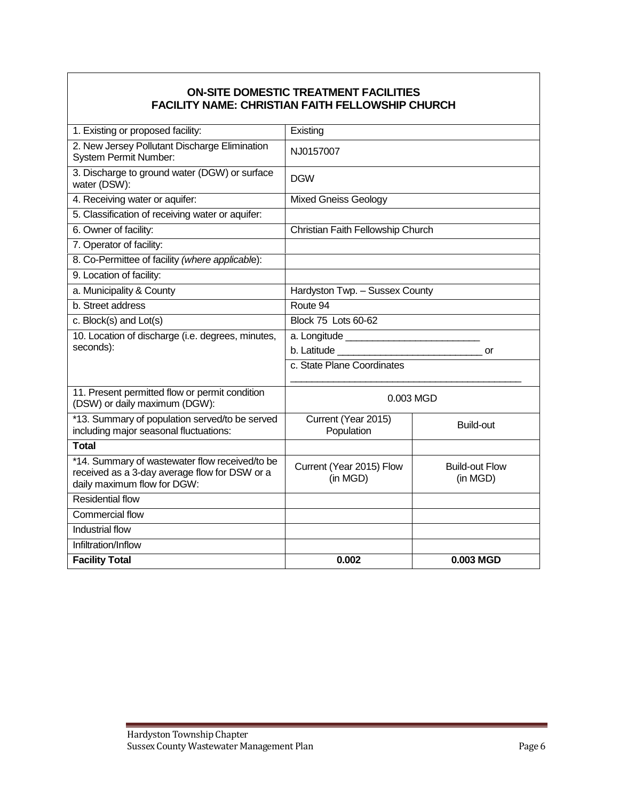### **ON-SITE DOMESTIC TREATMENT FACILITIES FACILITY NAME: CHRISTIAN FAITH FELLOWSHIP CHURCH**

| 1. Existing or proposed facility:                                                                                              | Existing                             |                                   |  |  |
|--------------------------------------------------------------------------------------------------------------------------------|--------------------------------------|-----------------------------------|--|--|
| 2. New Jersey Pollutant Discharge Elimination<br><b>System Permit Number:</b>                                                  | NJ0157007                            |                                   |  |  |
| 3. Discharge to ground water (DGW) or surface<br>water (DSW):                                                                  | <b>DGW</b>                           |                                   |  |  |
| 4. Receiving water or aquifer:                                                                                                 | <b>Mixed Gneiss Geology</b>          |                                   |  |  |
| 5. Classification of receiving water or aquifer:                                                                               |                                      |                                   |  |  |
| 6. Owner of facility:                                                                                                          | Christian Faith Fellowship Church    |                                   |  |  |
| 7. Operator of facility:                                                                                                       |                                      |                                   |  |  |
| 8. Co-Permittee of facility (where applicable):                                                                                |                                      |                                   |  |  |
| 9. Location of facility:                                                                                                       |                                      |                                   |  |  |
| a. Municipality & County                                                                                                       | Hardyston Twp. - Sussex County       |                                   |  |  |
| b. Street address                                                                                                              | Route 94                             |                                   |  |  |
| c. Block(s) and Lot(s)                                                                                                         | Block 75 Lots 60-62                  |                                   |  |  |
| 10. Location of discharge (i.e. degrees, minutes,                                                                              |                                      |                                   |  |  |
| seconds):                                                                                                                      | or                                   |                                   |  |  |
|                                                                                                                                | c. State Plane Coordinates           |                                   |  |  |
| 11. Present permitted flow or permit condition<br>(DSW) or daily maximum (DGW):                                                | 0.003 MGD                            |                                   |  |  |
| *13. Summary of population served/to be served<br>including major seasonal fluctuations:                                       | Current (Year 2015)<br>Population    | Build-out                         |  |  |
| <b>Total</b>                                                                                                                   |                                      |                                   |  |  |
| *14. Summary of wastewater flow received/to be<br>received as a 3-day average flow for DSW or a<br>daily maximum flow for DGW: | Current (Year 2015) Flow<br>(in MGD) | <b>Build-out Flow</b><br>(in MGD) |  |  |
| <b>Residential flow</b>                                                                                                        |                                      |                                   |  |  |
| Commercial flow                                                                                                                |                                      |                                   |  |  |
| Industrial flow                                                                                                                |                                      |                                   |  |  |
| Infiltration/Inflow                                                                                                            |                                      |                                   |  |  |
| <b>Facility Total</b>                                                                                                          | 0.002                                | 0.003 MGD                         |  |  |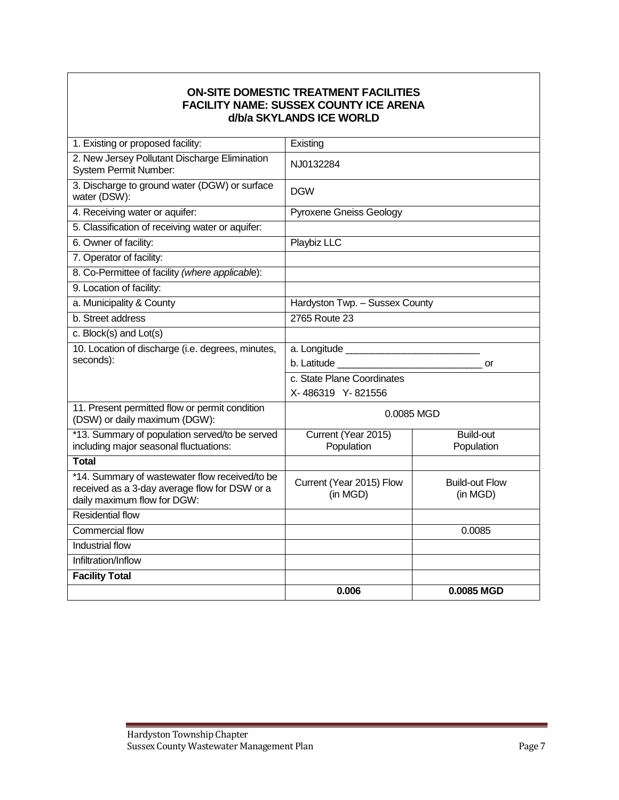### **ON-SITE DOMESTIC TREATMENT FACILITIES FACILITY NAME: SUSSEX COUNTY ICE ARENA d/b/a SKYLANDS ICE WORLD**

| *14. Summary of wastewater flow received/to be<br>received as a 3-day average flow for DSW or a<br>daily maximum flow for DGW:<br><b>Residential flow</b><br>Commercial flow<br><b>Industrial flow</b><br>Infiltration/Inflow<br><b>Facility Total</b> | Population<br>Current (Year 2015) Flow<br>(in MGD) | Population<br><b>Build-out Flow</b><br>(in MGD)<br>0.0085 |  |  |
|--------------------------------------------------------------------------------------------------------------------------------------------------------------------------------------------------------------------------------------------------------|----------------------------------------------------|-----------------------------------------------------------|--|--|
|                                                                                                                                                                                                                                                        |                                                    |                                                           |  |  |
|                                                                                                                                                                                                                                                        |                                                    |                                                           |  |  |
|                                                                                                                                                                                                                                                        |                                                    |                                                           |  |  |
|                                                                                                                                                                                                                                                        |                                                    |                                                           |  |  |
|                                                                                                                                                                                                                                                        |                                                    |                                                           |  |  |
|                                                                                                                                                                                                                                                        |                                                    |                                                           |  |  |
| <b>Total</b>                                                                                                                                                                                                                                           |                                                    |                                                           |  |  |
| *13. Summary of population served/to be served<br>including major seasonal fluctuations:                                                                                                                                                               | Current (Year 2015)                                | <b>Build-out</b>                                          |  |  |
| 11. Present permitted flow or permit condition<br>(DSW) or daily maximum (DGW):                                                                                                                                                                        | 0.0085 MGD                                         |                                                           |  |  |
|                                                                                                                                                                                                                                                        | X-486319 Y-821556                                  |                                                           |  |  |
|                                                                                                                                                                                                                                                        | c. State Plane Coordinates                         |                                                           |  |  |
| seconds):                                                                                                                                                                                                                                              |                                                    | or                                                        |  |  |
| 10. Location of discharge (i.e. degrees, minutes,                                                                                                                                                                                                      |                                                    |                                                           |  |  |
| c. Block(s) and Lot(s)                                                                                                                                                                                                                                 |                                                    |                                                           |  |  |
| b. Street address                                                                                                                                                                                                                                      | Hardyston Twp. - Sussex County<br>2765 Route 23    |                                                           |  |  |
| a. Municipality & County                                                                                                                                                                                                                               |                                                    |                                                           |  |  |
| 9. Location of facility:                                                                                                                                                                                                                               |                                                    |                                                           |  |  |
| 8. Co-Permittee of facility (where applicable):                                                                                                                                                                                                        |                                                    |                                                           |  |  |
| 7. Operator of facility:                                                                                                                                                                                                                               |                                                    |                                                           |  |  |
| 5. Classification of receiving water or aquifer:<br>6. Owner of facility:                                                                                                                                                                              | Playbiz LLC                                        |                                                           |  |  |
| 4. Receiving water or aquifer:                                                                                                                                                                                                                         | <b>Pyroxene Gneiss Geology</b>                     |                                                           |  |  |
| 3. Discharge to ground water (DGW) or surface<br>water (DSW):                                                                                                                                                                                          | <b>DGW</b>                                         |                                                           |  |  |
| 2. New Jersey Pollutant Discharge Elimination<br>System Permit Number:                                                                                                                                                                                 | NJ0132284                                          |                                                           |  |  |
| 1. Existing or proposed facility:                                                                                                                                                                                                                      | Existing                                           |                                                           |  |  |